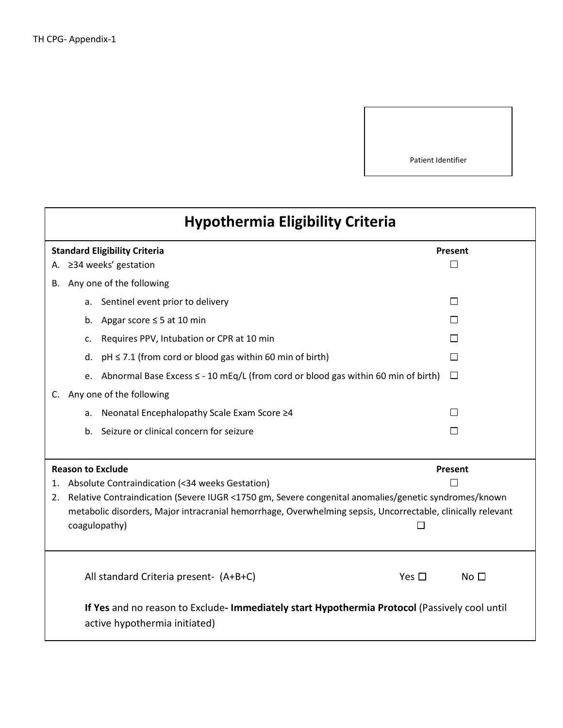Patient Identifier

| <b>Hypothermia Eligibility Criteria</b> |                                                                                                                                                                                                                                            |                 |  |  |  |
|-----------------------------------------|--------------------------------------------------------------------------------------------------------------------------------------------------------------------------------------------------------------------------------------------|-----------------|--|--|--|
|                                         | <b>Standard Eligibility Criteria</b>                                                                                                                                                                                                       | Present         |  |  |  |
|                                         | A. ≥34 weeks' gestation                                                                                                                                                                                                                    | П               |  |  |  |
| В.                                      | Any one of the following                                                                                                                                                                                                                   |                 |  |  |  |
|                                         | Sentinel event prior to delivery<br>a.                                                                                                                                                                                                     | $\Box$          |  |  |  |
|                                         | Apgar score $\leq$ 5 at 10 min<br>b.                                                                                                                                                                                                       | П               |  |  |  |
|                                         | Requires PPV, Intubation or CPR at 10 min<br>c.                                                                                                                                                                                            | ΙI              |  |  |  |
|                                         | $pH \le 7.1$ (from cord or blood gas within 60 min of birth)<br>d.                                                                                                                                                                         | П               |  |  |  |
|                                         | Abnormal Base Excess $\leq$ - 10 mEq/L (from cord or blood gas within 60 min of birth)<br>e.                                                                                                                                               | $\Box$          |  |  |  |
|                                         | C. Any one of the following                                                                                                                                                                                                                |                 |  |  |  |
|                                         | Neonatal Encephalopathy Scale Exam Score ≥4<br>a.                                                                                                                                                                                          | ΙI              |  |  |  |
|                                         | Seizure or clinical concern for seizure<br>b.                                                                                                                                                                                              | П               |  |  |  |
| <b>Reason to Exclude</b><br>Present     |                                                                                                                                                                                                                                            |                 |  |  |  |
| 1.                                      | Absolute Contraindication (<34 weeks Gestation)                                                                                                                                                                                            | $\Box$          |  |  |  |
|                                         | Relative Contraindication (Severe IUGR <1750 gm, Severe congenital anomalies/genetic syndromes/known<br>2.<br>metabolic disorders, Major intracranial hemorrhage, Overwhelming sepsis, Uncorrectable, clinically relevant<br>coagulopathy) |                 |  |  |  |
|                                         | All standard Criteria present- (A+B+C)<br>Yes $\Box$                                                                                                                                                                                       | No <sub>1</sub> |  |  |  |
|                                         | If Yes and no reason to Exclude-Immediately start Hypothermia Protocol (Passively cool until<br>active hypothermia initiated)                                                                                                              |                 |  |  |  |